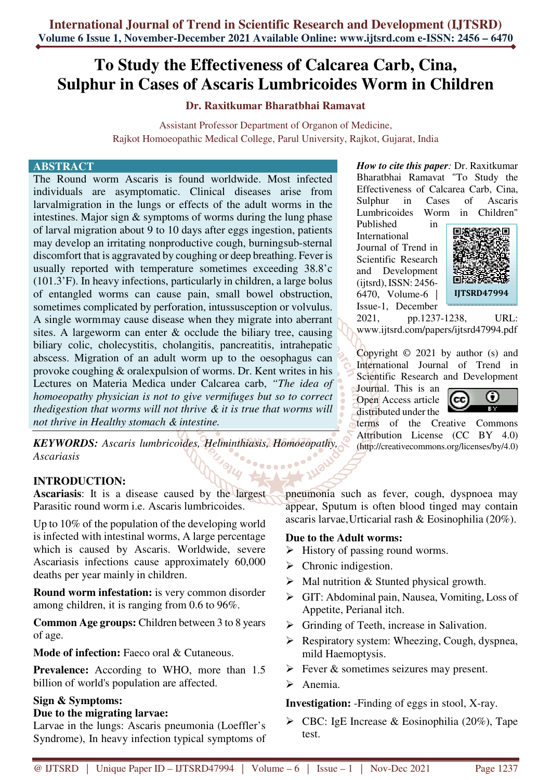# **To Study the Effectiveness of Calcarea Carb, Cina, Sulphur in Cases of Ascaris Lumbricoides Worm in Children**

## **Dr. Raxitkumar Bharatbhai Ramavat**

Assistant Professor Department of Organon of Medicine, Rajkot Homoeopathic Medical College, Parul University, Rajkot, Gujarat, India

#### **ABSTRACT**

The Round worm Ascaris is found worldwide. Most infected individuals are asymptomatic. Clinical diseases arise from larvalmigration in the lungs or effects of the adult worms in the intestines. Major sign & symptoms of worms during the lung phase of larval migration about 9 to 10 days after eggs ingestion, patients may develop an irritating nonproductive cough, burning sub-sternal discomfort that is aggravated by coughing or deep breathing. Fever is usually reported with temperature sometimes exceeding 38.8'c (101.3'F). In heavy infections, particularly in children, a large bolus of entangled worms can cause pain, small bowel obstruction, sometimes complicated by perforation, intussusception or volvulus. A single worm may cause disease when they migrate into aberrant sites. A largeworm can enter & occlude the biliary tree, causing biliary colic, cholecystitis, cholangitis, pancreatitis, intrahepatic abscess. Migration of an adult worm up to the oesophagus can provoke coughing & oralexpulsion of worms. Dr. Kent writes in his Lectures on Materia Medica under Calcarea carb, *"The idea of homoeopathy physician is not to give vermifuges but so to correct thedigestion that worms will not thrive & it is true that worms will not thrive in Healthy stomach & intestine.*

*KEYWORDS: Ascaris lumbricoides, Helminthiasis, Homoeopathy, Ascariasis*  **Process** 

2UI

# **INTRODUCTION:**

**Ascariasis**: It is a disease caused by the largest Parasitic round worm i.e. Ascaris lumbricoides.

Up to 10% of the population of the developing world is infected with intestinal worms, A large percentage which is caused by Ascaris. Worldwide, severe Ascariasis infections cause approximately 60,000 deaths per year mainly in children.

**Round worm infestation:** is very common disorder among children, it is ranging from 0.6 to 96%.

**Common Age groups:** Children between 3 to 8 years of age.

**Mode of infection:** Faeco oral & Cutaneous.

**Prevalence:** According to WHO, more than 1.5 billion of world's population are affected.

## **Sign & Symptoms:**

#### **Due to the migrating larvae:**

Larvae in the lungs: Ascaris pneumonia (Loeffler's Syndrome), In heavy infection typical symptoms of *How to cite this paper:* Dr. Raxitkumar Bharatbhai Ramavat "To Study the Effectiveness of Calcarea Carb, Cina, Sulphur in Cases of Ascaris Lumbricoides Worm in Children"

Published in International Journal of Trend in Scientific Research and Development (ijtsrd), ISSN: 2456- 6470, Volume-6 | Issue-1, December



2021, pp.1237-1238, URL: www.ijtsrd.com/papers/ijtsrd47994.pdf

Copyright © 2021 by author (s) and International Journal of Trend in Scientific Research and Development

Journal. This is an Open Access article distributed under the



terms of the Creative Commons Attribution License (CC BY 4.0) (http://creativecommons.org/licenses/by/4.0)

pneumonia such as fever, cough, dyspnoea may appear, Sputum is often blood tinged may contain ascaris larvae, Urticarial rash & Eosinophilia (20%).

## **Due to the Adult worms:**

- $\triangleright$  History of passing round worms.
- $\triangleright$  Chronic indigestion.
- $\triangleright$  Mal nutrition & Stunted physical growth.
- GIT: Abdominal pain, Nausea, Vomiting, Loss of Appetite, Perianal itch.
- $\triangleright$  Grinding of Teeth, increase in Salivation.
- Respiratory system: Wheezing, Cough, dyspnea, mild Haemoptysis.
- $\triangleright$  Fever & sometimes seizures may present.
- $\triangleright$  Anemia.

**Investigation:** -Finding of eggs in stool, X-ray.

 $\triangleright$  CBC: IgE Increase & Eosinophilia (20%), Tape test.